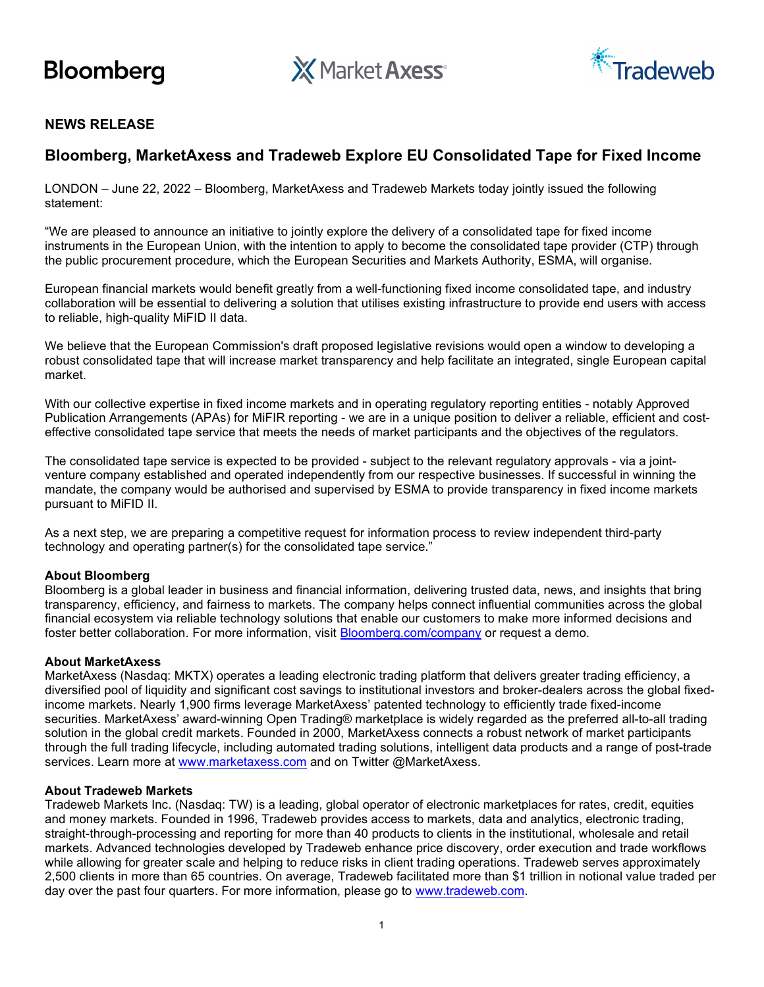

**X** Market Axess<sup>®</sup>



## NEWS RELEASE

# Bloomberg, MarketAxess and Tradeweb Explore EU Consolidated Tape for Fixed Income

LONDON – June 22, 2022 – Bloomberg, MarketAxess and Tradeweb Markets today jointly issued the following statement:

"We are pleased to announce an initiative to jointly explore the delivery of a consolidated tape for fixed income instruments in the European Union, with the intention to apply to become the consolidated tape provider (CTP) through the public procurement procedure, which the European Securities and Markets Authority, ESMA, will organise.

European financial markets would benefit greatly from a well-functioning fixed income consolidated tape, and industry collaboration will be essential to delivering a solution that utilises existing infrastructure to provide end users with access to reliable, high-quality MiFID II data.

We believe that the European Commission's draft proposed legislative revisions would open a window to developing a robust consolidated tape that will increase market transparency and help facilitate an integrated, single European capital market.

With our collective expertise in fixed income markets and in operating regulatory reporting entities - notably Approved Publication Arrangements (APAs) for MiFIR reporting - we are in a unique position to deliver a reliable, efficient and costeffective consolidated tape service that meets the needs of market participants and the objectives of the regulators.

The consolidated tape service is expected to be provided - subject to the relevant regulatory approvals - via a jointventure company established and operated independently from our respective businesses. If successful in winning the mandate, the company would be authorised and supervised by ESMA to provide transparency in fixed income markets pursuant to MiFID II.

As a next step, we are preparing a competitive request for information process to review independent third-party technology and operating partner(s) for the consolidated tape service."

#### About Bloomberg

Bloomberg is a global leader in business and financial information, delivering trusted data, news, and insights that bring transparency, efficiency, and fairness to markets. The company helps connect influential communities across the global financial ecosystem via reliable technology solutions that enable our customers to make more informed decisions and foster better collaboration. For more information, visit Bloomberg.com/company or request a demo.

#### About MarketAxess

MarketAxess (Nasdaq: MKTX) operates a leading electronic trading platform that delivers greater trading efficiency, a diversified pool of liquidity and significant cost savings to institutional investors and broker-dealers across the global fixedincome markets. Nearly 1,900 firms leverage MarketAxess' patented technology to efficiently trade fixed-income securities. MarketAxess' award-winning Open Trading® marketplace is widely regarded as the preferred all-to-all trading solution in the global credit markets. Founded in 2000, MarketAxess connects a robust network of market participants through the full trading lifecycle, including automated trading solutions, intelligent data products and a range of post-trade services. Learn more at www.marketaxess.com and on Twitter @MarketAxess.

#### About Tradeweb Markets

Tradeweb Markets Inc. (Nasdaq: TW) is a leading, global operator of electronic marketplaces for rates, credit, equities and money markets. Founded in 1996, Tradeweb provides access to markets, data and analytics, electronic trading, straight-through-processing and reporting for more than 40 products to clients in the institutional, wholesale and retail markets. Advanced technologies developed by Tradeweb enhance price discovery, order execution and trade workflows while allowing for greater scale and helping to reduce risks in client trading operations. Tradeweb serves approximately 2,500 clients in more than 65 countries. On average, Tradeweb facilitated more than \$1 trillion in notional value traded per day over the past four quarters. For more information, please go to www.tradeweb.com.